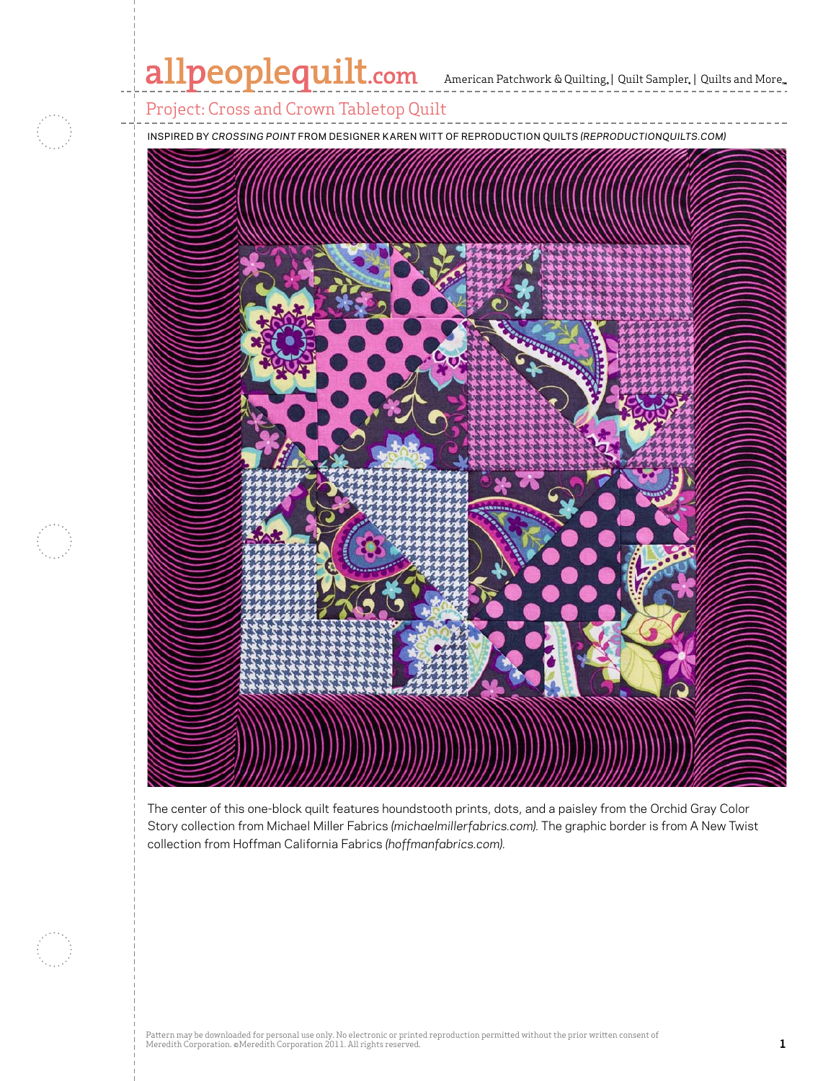# allpeoplequilt.com American Patchwork & Quilting, | Quilt Sampler, | Quilts and More..



Project: Cross and Crown Tabletop Quilt

inspired by *Crossing Point* from Designer KAREN Witt Of Reproduction Quilts *(reproductionquilts.com)*



The center of this one-block quilt features houndstooth prints, dots, and a paisley from the Orchid Gray Color Story collection from Michael Miller Fabrics *(michaelmillerfabrics.com).* The graphic border is from A New Twist collection from Hoffman California Fabrics *(hoffmanfabrics.com).*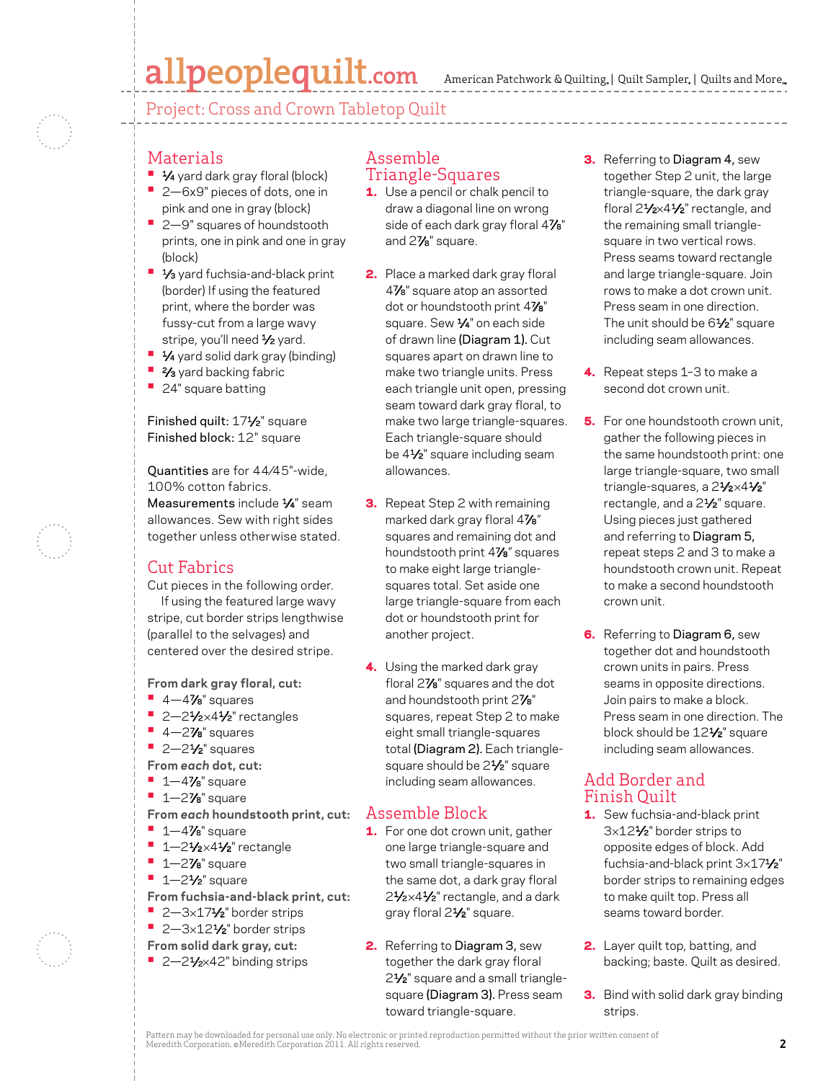## allpeoplequilt.com

American Patchwork & Quilting,  $|$  Quilt Sampler,  $|$  Quilts and More,..

Project: Cross and Crown Tabletop Quilt

### **Materials**

- **•** 1⁄4 yard dark gray floral (block)
- 2–6x9" pieces of dots, one in pink and one in gray (block)
- 2-9" squares of houndstooth prints, one in pink and one in gray (block)
- **1/<sub>3</sub>** yard fuchsia-and-black print (border) If using the featured print, where the border was fussy-cut from a large wavy stripe, you'll need 1/2 yard.
- **1⁄4** yard solid dark gray (binding)
- **2⁄3** yard backing fabric
- **•**  24" square batting

#### Finished quilt: 171⁄2" square Finished block: 12" square

Quantities are for 44⁄45"-wide, 100% cotton fabrics. Measurements include 1/4" seam allowances. Sew with right sides together unless otherwise stated.

### Cut Fabrics

Cut pieces in the following order. If using the featured large wavy stripe, cut border strips lengthwise (parallel to the selvages) and centered over the desired stripe.

**From dark gray floral, cut:**

- **•**  4—47⁄8" squares
- **•** 2-21/<sub>2</sub>×41/<sub>2</sub>" rectangles
- **•**  4—27⁄8" squares
- **•**  2—21⁄2" squares
- **From** *each* **dot, cut:**
- **•**  1—47⁄8" square
- **•**  1—27⁄8" square
- **From** *each* **houndstooth print, cut:**
- **•**  1—47⁄8" square
- **•** 1-21/<sub>2</sub>×41/<sub>2</sub>" rectangle
- **•**  1—27⁄8" square
- **•** 1-2<sup>1</sup>/<sub>2</sub>" square
- **From fuchsia-and-black print, cut:**
- 2-3×17<sup>1</sup>⁄2" border strips
- 2-3×12<sup>1</sup>⁄2" border strips
- **From solid dark gray, cut:**
- **•**  2—21⁄2×42" binding strips

#### Assemble Triangle-Squares

- **1.** Use a pencil or chalk pencil to draw a diagonal line on wrong side of each dark gray floral 47%" and 27⁄8" square.
- 2. Place a marked dark gray floral 47⁄8" square atop an assorted dot or houndstooth print 47⁄8" square. Sew 1/4" on each side of drawn line (Diagram 1). Cut squares apart on drawn line to make two triangle units. Press each triangle unit open, pressing seam toward dark gray floral, to make two large triangle-squares. Each triangle-square should be 41⁄2" square including seam allowances.
- **3.** Repeat Step 2 with remaining marked dark gray floral 47⁄8" squares and remaining dot and houndstooth print 47⁄8" squares to make eight large trianglesquares total. Set aside one large triangle-square from each dot or houndstooth print for another project.
- 4. Using the marked dark gray floral 27⁄8" squares and the dot and houndstooth print 27⁄8" squares, repeat Step 2 to make eight small triangle-squares total (Diagram 2). Each trianglesquare should be 2<sup>1/2</sup>" square including seam allowances.

## Assemble Block

- **1.** For one dot crown unit, gather one large triangle-square and two small triangle-squares in the same dot, a dark gray floral 2<sup>1</sup>⁄2×4<sup>1</sup>⁄2" rectangle, and a dark gray floral 21⁄2" square.
- 2. Referring to Diagram 3, sew together the dark gray floral 2<sup>1</sup>/<sub>2</sub>" square and a small trianglesquare (Diagram 3). Press seam toward triangle-square.
- **3.** Referring to Diagram 4, sew together Step 2 unit, the large triangle-square, the dark gray floral 21/2×41/2" rectangle, and the remaining small trianglesquare in two vertical rows. Press seams toward rectangle and large triangle-square. Join rows to make a dot crown unit. Press seam in one direction. The unit should be 6<sup>1/2"</sup> square including seam allowances.
- 4. Repeat steps 1-3 to make a second dot crown unit.
- **5.** For one houndstooth crown unit, gather the following pieces in the same houndstooth print: one large triangle-square, two small triangle-squares, a 21/2×41/2" rectangle, and a 2<sup>1/2"</sup> square. Using pieces just gathered and referring to Diagram 5, repeat steps 2 and 3 to make a houndstooth crown unit. Repeat to make a second houndstooth crown unit.
- **6.** Referring to Diagram 6, sew together dot and houndstooth crown units in pairs. Press seams in opposite directions. Join pairs to make a block. Press seam in one direction. The block should be 12<sup>1/2"</sup> square including seam allowances.

#### Add Border and Finish Quilt

- 1. Sew fuchsia-and-black print 3×121⁄2" border strips to opposite edges of block. Add fuchsia-and-black print 3×171⁄2" border strips to remaining edges to make quilt top. Press all seams toward border.
- 2. Layer quilt top, batting, and backing; baste. Quilt as desired.
- **3.** Bind with solid dark gray binding strips.

Pattern may be downloaded for personal use only. No electronic or printed reproduction permitted without the prior written consent of Meredith Corporation. ©Meredith Corporation 2011. All rights reserved. **2**